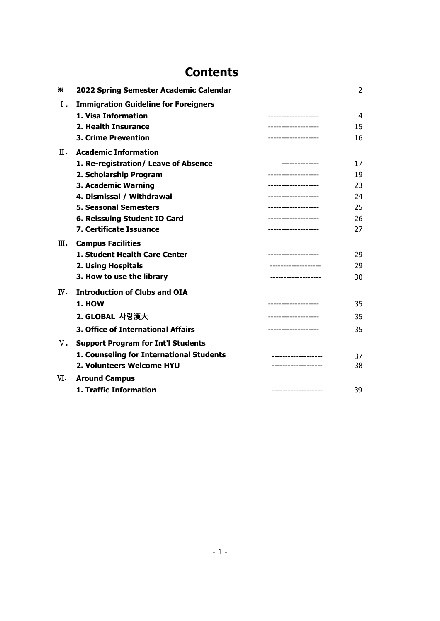## **Contents**

| ⋇   | 2022 Spring Semester Academic Calendar      |                     | 2  |
|-----|---------------------------------------------|---------------------|----|
| Ι.  | <b>Immigration Guideline for Foreigners</b> |                     |    |
|     | 1. Visa Information                         | ------------------  | 4  |
|     | 2. Health Insurance                         | ----------------    | 15 |
|     | <b>3. Crime Prevention</b>                  | ------------------  | 16 |
| п.  | <b>Academic Information</b>                 |                     |    |
|     | 1. Re-registration/ Leave of Absence        |                     | 17 |
|     | 2. Scholarship Program                      | ----------------    | 19 |
|     | 3. Academic Warning                         | ------------------- | 23 |
|     | 4. Dismissal / Withdrawal                   | ------------------- | 24 |
|     | <b>5. Seasonal Semesters</b>                | ----------------    | 25 |
|     | 6. Reissuing Student ID Card                | ------------------- | 26 |
|     | 7. Certificate Issuance                     | ------------------- | 27 |
| ш.  | <b>Campus Facilities</b>                    |                     |    |
|     | 1. Student Health Care Center               |                     | 29 |
|     | 2. Using Hospitals                          | ---------------     | 29 |
|     | 3. How to use the library                   |                     | 30 |
| IV. | <b>Introduction of Clubs and OIA</b>        |                     |    |
|     | <b>1. HOW</b>                               | ------------------- | 35 |
|     | 2. GLOBAL 사랑漢大                              | ----------------    | 35 |
|     | <b>3. Office of International Affairs</b>   | ------------------- | 35 |
| v.  | <b>Support Program for Int'l Students</b>   |                     |    |
|     | 1. Counseling for International Students    |                     | 37 |
|     | 2. Volunteers Welcome HYU                   | ----------------    | 38 |
| vi. | <b>Around Campus</b>                        |                     |    |
|     | 1. Traffic Information                      |                     | 39 |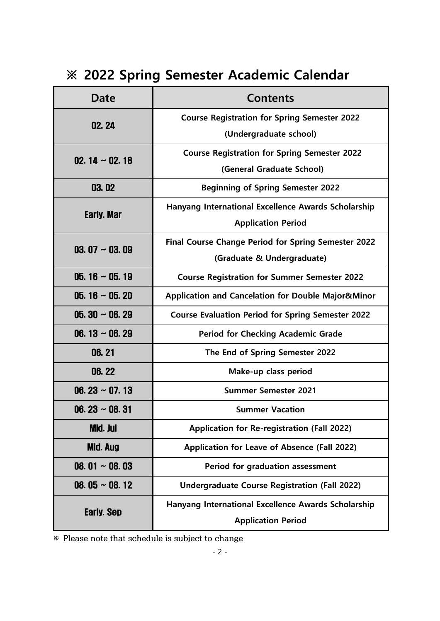## **※ 2022 Spring Semester Academic Calendar**

| <b>Date</b>          | <b>Contents</b>                                          |  |  |
|----------------------|----------------------------------------------------------|--|--|
| 02.24                | <b>Course Registration for Spring Semester 2022</b>      |  |  |
|                      | (Undergraduate school)                                   |  |  |
| 02. $14 \sim 02.18$  | <b>Course Registration for Spring Semester 2022</b>      |  |  |
|                      | (General Graduate School)                                |  |  |
| 03.02                | <b>Beginning of Spring Semester 2022</b>                 |  |  |
| Early. Mar           | Hanyang International Excellence Awards Scholarship      |  |  |
|                      | <b>Application Period</b>                                |  |  |
| 03.07 $\sim$ 03.09   | Final Course Change Period for Spring Semester 2022      |  |  |
|                      | (Graduate & Undergraduate)                               |  |  |
| $05.16 \sim 05.19$   | <b>Course Registration for Summer Semester 2022</b>      |  |  |
| 05.16 $\sim$ 05.20   | Application and Cancelation for Double Major&Minor       |  |  |
| $05.30 \sim 06.29$   | <b>Course Evaluation Period for Spring Semester 2022</b> |  |  |
| 06. $13 \sim 06.29$  | <b>Period for Checking Academic Grade</b>                |  |  |
| 06.21                | The End of Spring Semester 2022                          |  |  |
| 06.22                | Make-up class period                                     |  |  |
| 06.23 $\sim$ 07.13   | <b>Summer Semester 2021</b>                              |  |  |
| 06. 23 $\sim$ 08. 31 | <b>Summer Vacation</b>                                   |  |  |
| Mid. Jul             | <b>Application for Re-registration (Fall 2022)</b>       |  |  |
| <b>Mid. Aug</b>      | Application for Leave of Absence (Fall 2022)             |  |  |
| 08.01 $\sim$ 08.03   | <b>Period for graduation assessment</b>                  |  |  |
| 08. 05 $\sim$ 08. 12 | <b>Undergraduate Course Registration (Fall 2022)</b>     |  |  |
| <b>Early. Sep</b>    | Hanyang International Excellence Awards Scholarship      |  |  |
|                      | <b>Application Period</b>                                |  |  |

**※ Please note that schedule is subject to change**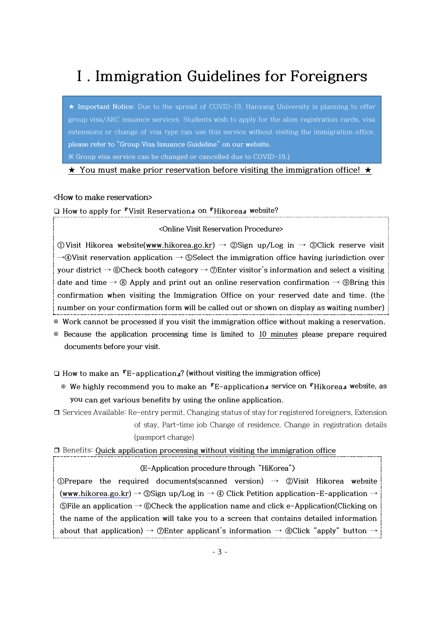## **Ⅰ. Immigration Guidelines for Foreigners**

**★ Important Notice:** Due to the spread of COVID-19, Hanyang University is planning to offer group visa/ARC issuance services. Students wish to apply for the alien registration cards, visa extensions or change of visa type can use this service without visiting the immigration office. **please refer to "Group Visa Issuance Guideline" on our website. ※ Group visa service can be changed or cancelled due to COVID-19.)**

**★ You must make prior reservation before visiting the immigration office! ★**

**<How to make reservation>**

**❏ How to apply for 『Visit Reservation』 on 『Hikorea』 website?**

#### **<Online Visit Reservation Procedure>**

**①Visit Hikorea website[\(www.hikorea.go.kr](file:///C:/Users/Global%20Info%20Center/Downloads/www.hikorea.go.kr)) → ②Sign up/Log in → ③Click reserve visit →④Visit reservation application → ⑤Select the immigration office having jurisdiction over your district → ⑥Check booth category → ⑦Enter visitor's information and select a visiting date and time → ⑧ Apply and print out an online reservation confirmation → ⑨Bring this confirmation when visiting the Immigration Office on your reserved date and time. (the number on your confirmation form will be called out or shown on display as waiting number)**

**※ Work cannot be processed if you visit the immigration office without making a reservation.**

**※ Because the application processing time is limited to 10 minutes please prepare required documents before your visit.**

**❏ How to make an 『E-application』? (without visiting the immigration office)**

- **※ We highly recommend you to make an 『E-application』 service on 『Hikorea』 website, as you can get various benefits by using the online application.**
- ❒ Services Available: Re-entry permit, Changing status of stay for registered foreigners, Extension of stay, Part-time job Change of residence, Change in registration details (passport change)

❒ Benefits: **Quick application processing without visiting the immigration office**

#### **〈E-Application procedure through "HiKorea"〉**

**①Prepare the required documents(scanned version) → ②Visit Hikorea website (www.hikorea.go.kr) → ③Sign up/Log in → ④ Click Petition application-E-application → ⑤File an application → ⑥Check the application name and click e-Application(Clicking on the name of the application will take you to a screen that contains detailed information about that application) → ⑦Enter applicant's information → ⑧Click "apply" button →**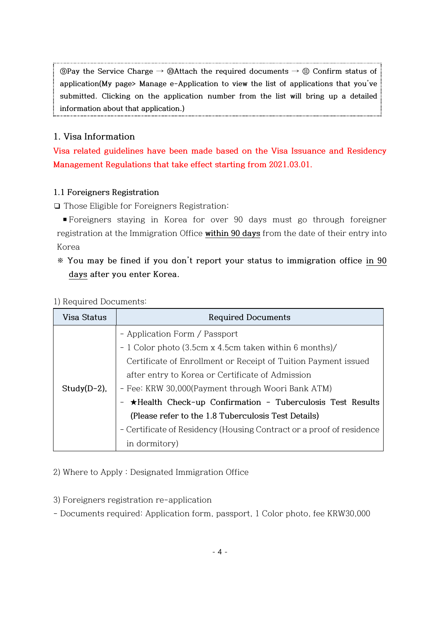**⑨Pay the Service Charge → ⑩Attach the required documents → ⑪ Confirm status of application(My page> Manage e-Application to view the list of applications that you've submitted. Clicking on the application number from the list will bring up a detailed information about that application.)**

### **1. Visa Information**

**Visa related guidelines have been made based on the Visa Issuance and Residency Management Regulations that take effect starting from 2021.03.01.**

#### **1.1 Foreigners Registration**

❏ Those Eligible for Foreigners Registration:

▪Foreigners staying in Korea for over 90 days must go through foreigner registration at the Immigration Office **within 90 days** from the date of their entry into Korea

**※ You may be fined if you don't report your status to immigration office in 90 days after you enter Korea.** 

#### 1) Required Documents:

| Visa Status     | <b>Required Documents</b>                                            |  |  |  |
|-----------------|----------------------------------------------------------------------|--|--|--|
|                 | - Application Form / Passport                                        |  |  |  |
|                 | - 1 Color photo (3.5cm x 4.5cm taken within 6 months)/               |  |  |  |
|                 | Certificate of Enrollment or Receipt of Tuition Payment issued       |  |  |  |
|                 | after entry to Korea or Certificate of Admission                     |  |  |  |
| Study $(D-2)$ , | - Fee: KRW 30,000(Payment through Woori Bank ATM)                    |  |  |  |
|                 | - *Health Check-up Confirmation - Tuberculosis Test Results          |  |  |  |
|                 | (Please refer to the 1.8 Tuberculosis Test Details)                  |  |  |  |
|                 | - Certificate of Residency (Housing Contract or a proof of residence |  |  |  |
|                 | in dormitory)                                                        |  |  |  |

2) Where to Apply : Designated Immigration Office

3) Foreigners registration re-application

- Documents required: Application form, passport, 1 Color photo, fee KRW30,000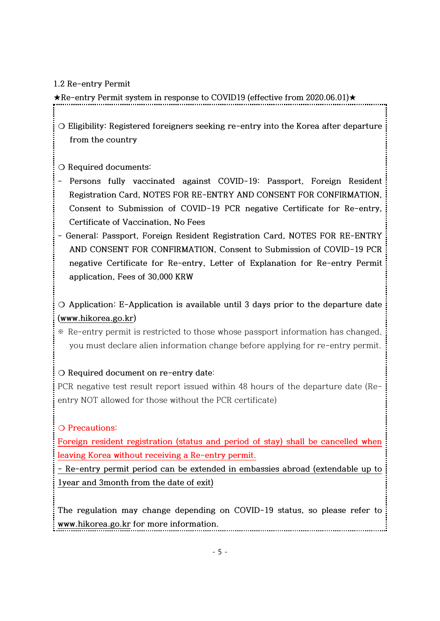#### **1.2 Re-entry Permit**

**★Re-entry Permit system in response to COVID19 (effective from 2020.06.01)★**

- **❍ Eligibility: Registered foreigners seeking re-entry into the Korea after departure from the country**
- **❍ Required documents:**
- **- Persons fully vaccinated against COVID-19: Passport, Foreign Resident Registration Card, NOTES FOR RE-ENTRY AND CONSENT FOR CONFIRMATION, Consent to Submission of COVID-19 PCR negative Certificate for Re-entry, Certificate of Vaccination, No Fees**
- **- General: Passport, Foreign Resident Registration Card, NOTES FOR RE-ENTRY AND CONSENT FOR CONFIRMATION, Consent to Submission of COVID-19 PCR negative Certificate for Re-entry, Letter of Explanation for Re-entry Permit application, Fees of 30,000 KRW**

**❍ Application: E-Application is available until 3 days prior to the departure date [\(www.hikorea.go.kr\)](http://www.hikorea.go.kr/)**

※ Re-entry permit is restricted to those whose passport information has changed, you must declare alien information change before applying for re-entry permit.

### **❍ Required document on re-entry date**:

PCR negative test result report issued within 48 hours of the departure date (Reentry NOT allowed for those without the PCR certificate)

### **❍ Precautions:**

**Foreign resident registration (status and period of stay) shall be cancelled when leaving Korea without receiving a Re-entry permit.**

**- Re-entry permit period can be extended in embassies abroad (extendable up to 1year and 3month from the date of exit)**

**The regulation may change depending on COVID-19 status, so please refer to [www.hikorea.go.kr](http://www.hikorea.go.kr/) for more information.**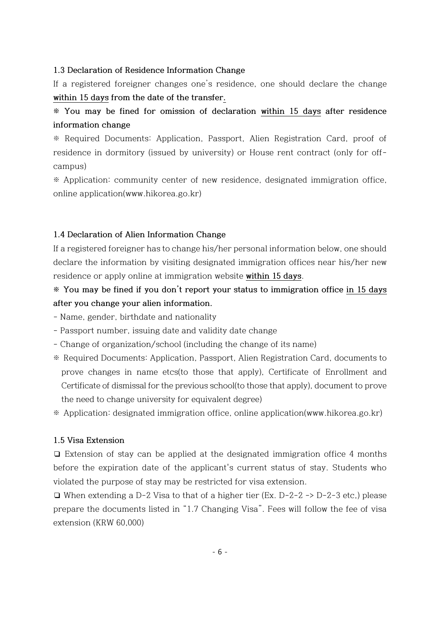#### **1.3 Declaration of Residence Information Change**

If a registered foreigner changes one's residence, one should declare the change **within 15 days from the date of the transfer.**

## **※ You may be fined for omission of declaration within 15 days after residence information change**

※ Required Documents: Application, Passport, Alien Registration Card, proof of residence in dormitory (issued by university) or House rent contract (only for offcampus)

※ Application: community center of new residence, designated immigration office, online application(www.hikorea.go.kr)

#### **1.4 Declaration of Alien Information Change**

If a registered foreigner has to change his/her personal information below, one should declare the information by visiting designated immigration offices near his/her new residence or apply online at immigration website **within 15 days**.

## **※ You may be fined if you don't report your status to immigration office in 15 days after you change your alien information.**

- Name, gender, birthdate and nationality

- Passport number, issuing date and validity date change
- Change of organization/school (including the change of its name)
- ※ Required Documents: Application, Passport, Alien Registration Card, documents to prove changes in name etcs(to those that apply), Certificate of Enrollment and Certificate of dismissal for the previous school(to those that apply), document to prove the need to change university for equivalent degree)
- ※ Application: designated immigration office, online application(www.hikorea.go.kr)

#### **1.5 Visa Extension**

❏ Extension of stay can be applied at the designated immigration office 4 months before the expiration date of the applicant's current status of stay. Students who violated the purpose of stay may be restricted for visa extension.

❏ When extending a D-2 Visa to that of a higher tier (Ex. D-2-2 -> D-2-3 etc,) please prepare the documents listed in "1.7 Changing Visa". Fees will follow the fee of visa extension (KRW 60,000)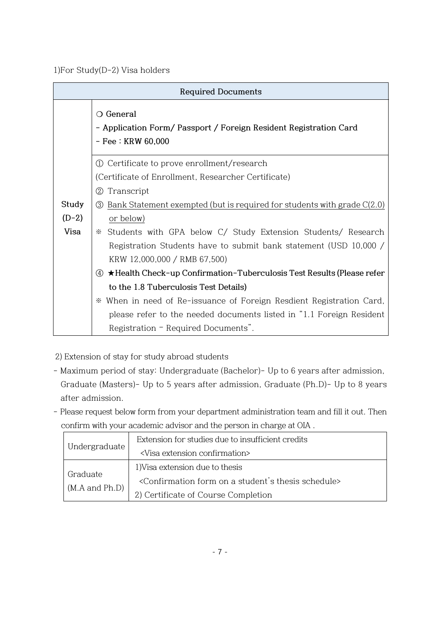1)For Study(D-2) Visa holders

| <b>Required Documents</b> |                                                                                                                 |  |  |  |
|---------------------------|-----------------------------------------------------------------------------------------------------------------|--|--|--|
|                           | $\bigcirc$ General<br>- Application Form/ Passport / Foreign Resident Registration Card<br>$-$ Fee : KRW 60,000 |  |  |  |
|                           | Certificate to prove enrollment/research<br>(1)                                                                 |  |  |  |
|                           | (Certificate of Enrollment, Researcher Certificate)                                                             |  |  |  |
|                           | Transcript<br>(2)                                                                                               |  |  |  |
| Study                     | $\circled{3}$ Bank Statement exempted (but is required for students with grade $C(2.0)$ )                       |  |  |  |
| $(D-2)$                   | or below)                                                                                                       |  |  |  |
| Visa                      | Students with GPA below C/ Study Extension Students/ Research<br>⋇                                              |  |  |  |
|                           | Registration Students have to submit bank statement (USD 10,000 /                                               |  |  |  |
|                           | KRW 12,000,000 / RMB 67,500)                                                                                    |  |  |  |
|                           | 4 <b>*</b> Health Check-up Confirmation-Tuberculosis Test Results (Please refer                                 |  |  |  |
|                           | to the 1.8 Tuberculosis Test Details)                                                                           |  |  |  |
|                           | When in need of Re-issuance of Foreign Resdient Registration Card,<br>✕                                         |  |  |  |
|                           | please refer to the needed documents listed in "1.1 Foreign Resident"                                           |  |  |  |
|                           | Registration - Required Documents".                                                                             |  |  |  |

- 2) Extension of stay for study abroad students
- Maximum period of stay: Undergraduate (Bachelor)- Up to 6 years after admission, Graduate (Masters)- Up to 5 years after admission, Graduate (Ph.D)- Up to 8 years after admission.
- Please request below form from your department administration team and fill it out. Then confirm with your academic advisor and the person in charge at OIA .

|                    | Extension for studies due to insufficient credits                                   |
|--------------------|-------------------------------------------------------------------------------------|
| Undergraduate      | <visa confirmation="" extension=""></visa>                                          |
| Graduate           | 1) Visa extension due to thesis                                                     |
| $(M.A$ and $Ph.D)$ | <confirmation a="" form="" on="" schedule="" student's="" thesis=""></confirmation> |
|                    | 2) Certificate of Course Completion                                                 |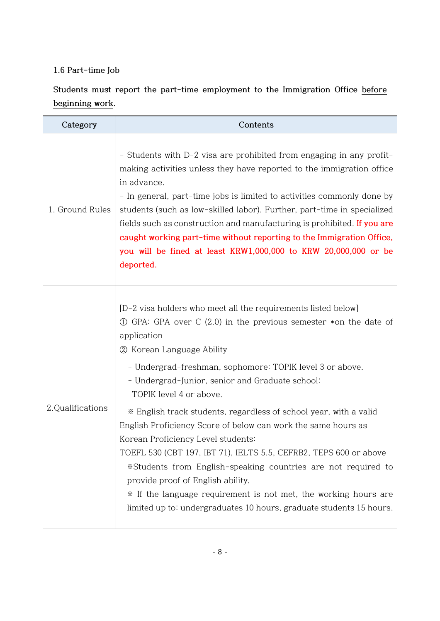### **1.6 Part-time Job**

**Students must report the part-time employment to the Immigration Office before beginning work.**

| Category         | Contents                                                                                                                                                                                                                                                                                                                                                                                                                                                                                                                                                                                                                                                                                                                                                                                                                          |
|------------------|-----------------------------------------------------------------------------------------------------------------------------------------------------------------------------------------------------------------------------------------------------------------------------------------------------------------------------------------------------------------------------------------------------------------------------------------------------------------------------------------------------------------------------------------------------------------------------------------------------------------------------------------------------------------------------------------------------------------------------------------------------------------------------------------------------------------------------------|
| 1. Ground Rules  | - Students with D-2 visa are prohibited from engaging in any profit-<br>making activities unless they have reported to the immigration office<br>in advance.<br>- In general, part-time jobs is limited to activities commonly done by<br>students (such as low-skilled labor). Further, part-time in specialized<br>fields such as construction and manufacturing is prohibited. If you are<br>caught working part-time without reporting to the Immigration Office,<br>you will be fined at least KRW1,000,000 to KRW 20,000,000 or be<br>deported.                                                                                                                                                                                                                                                                             |
| 2.Qualifications | [D-2 visa holders who meet all the requirements listed below]<br>$\odot$ GPA: GPA over C (2.0) in the previous semester $*$ on the date of<br>application<br>2 Korean Language Ability<br>- Undergrad-freshman, sophomore: TOPIK level 3 or above.<br>- Undergrad-Junior, senior and Graduate school:<br>TOPIK level 4 or above.<br>* English track students, regardless of school year, with a valid<br>English Proficiency Score of below can work the same hours as<br>Korean Proficiency Level students:<br>TOEFL 530 (CBT 197, IBT 71), IELTS 5.5, CEFRB2, TEPS 600 or above<br>*Students from English-speaking countries are not required to<br>provide proof of English ability.<br>* If the language requirement is not met, the working hours are<br>limited up to: undergraduates 10 hours, graduate students 15 hours. |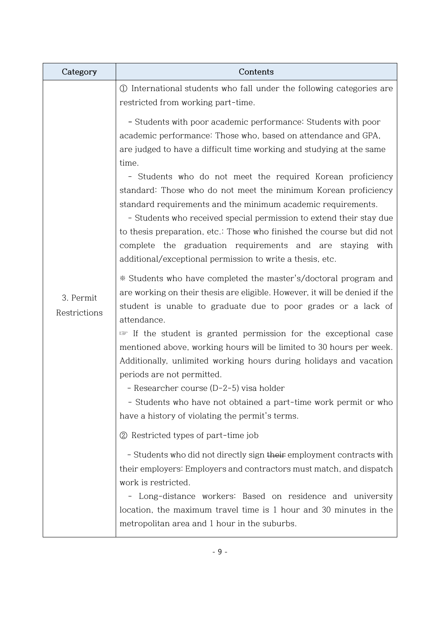| Category                  | Contents                                                                                                                                                                                                                                                                                                                                                                                                                                                                                                                                                                                                                                                                                   |  |  |  |
|---------------------------|--------------------------------------------------------------------------------------------------------------------------------------------------------------------------------------------------------------------------------------------------------------------------------------------------------------------------------------------------------------------------------------------------------------------------------------------------------------------------------------------------------------------------------------------------------------------------------------------------------------------------------------------------------------------------------------------|--|--|--|
|                           | 1 International students who fall under the following categories are<br>restricted from working part-time.                                                                                                                                                                                                                                                                                                                                                                                                                                                                                                                                                                                 |  |  |  |
|                           | - Students with poor academic performance: Students with poor<br>academic performance: Those who, based on attendance and GPA,<br>are judged to have a difficult time working and studying at the same<br>time.<br>- Students who do not meet the required Korean proficiency<br>standard: Those who do not meet the minimum Korean proficiency<br>standard requirements and the minimum academic requirements.<br>- Students who received special permission to extend their stay due<br>to thesis preparation, etc.: Those who finished the course but did not<br>complete the graduation requirements and are staying with<br>additional/exceptional permission to write a thesis, etc. |  |  |  |
| 3. Permit<br>Restrictions | * Students who have completed the master's/doctoral program and<br>are working on their thesis are eligible. However, it will be denied if the<br>student is unable to graduate due to poor grades or a lack of<br>attendance.<br>If the student is granted permission for the exceptional case<br>mentioned above, working hours will be limited to 30 hours per week.<br>Additionally, unlimited working hours during holidays and vacation<br>periods are not permitted.<br>- Researcher course (D-2-5) visa holder<br>- Students who have not obtained a part-time work permit or who<br>have a history of violating the permit's terms.                                               |  |  |  |
|                           | 2 Restricted types of part-time job<br>- Students who did not directly sign their employment contracts with<br>their employers: Employers and contractors must match, and dispatch<br>work is restricted.                                                                                                                                                                                                                                                                                                                                                                                                                                                                                  |  |  |  |
|                           | - Long-distance workers: Based on residence and university<br>location, the maximum travel time is 1 hour and 30 minutes in the<br>metropolitan area and 1 hour in the suburbs.                                                                                                                                                                                                                                                                                                                                                                                                                                                                                                            |  |  |  |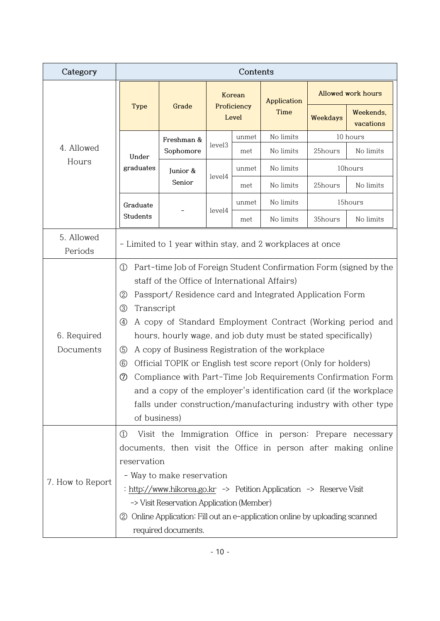| Category                 | Contents                                                                                                                                                                                                                                                                                                                                                                                                                                                                                                                                                                                                                                                                                                                                                                             |                                                                                                                                                                                                                                                   |                    |                      |                     |                           |                                                                                                                             |
|--------------------------|--------------------------------------------------------------------------------------------------------------------------------------------------------------------------------------------------------------------------------------------------------------------------------------------------------------------------------------------------------------------------------------------------------------------------------------------------------------------------------------------------------------------------------------------------------------------------------------------------------------------------------------------------------------------------------------------------------------------------------------------------------------------------------------|---------------------------------------------------------------------------------------------------------------------------------------------------------------------------------------------------------------------------------------------------|--------------------|----------------------|---------------------|---------------------------|-----------------------------------------------------------------------------------------------------------------------------|
|                          | <b>Type</b>                                                                                                                                                                                                                                                                                                                                                                                                                                                                                                                                                                                                                                                                                                                                                                          |                                                                                                                                                                                                                                                   | Korean             |                      | Application<br>Time | <b>Allowed work hours</b> |                                                                                                                             |
|                          |                                                                                                                                                                                                                                                                                                                                                                                                                                                                                                                                                                                                                                                                                                                                                                                      | Grade                                                                                                                                                                                                                                             |                    | Proficiency<br>Level |                     | Weekdays                  | Weekends,<br>vacations                                                                                                      |
|                          |                                                                                                                                                                                                                                                                                                                                                                                                                                                                                                                                                                                                                                                                                                                                                                                      | Freshman &<br>Sophomore                                                                                                                                                                                                                           |                    | unmet                | No limits           |                           | 10 hours                                                                                                                    |
| 4. Allowed               | Under                                                                                                                                                                                                                                                                                                                                                                                                                                                                                                                                                                                                                                                                                                                                                                                |                                                                                                                                                                                                                                                   | level <sub>3</sub> | met                  | No limits           | 25hours                   | No limits                                                                                                                   |
| Hours                    | graduates                                                                                                                                                                                                                                                                                                                                                                                                                                                                                                                                                                                                                                                                                                                                                                            | Junior &                                                                                                                                                                                                                                          | level4             | unmet                | No limits           |                           | 10hours                                                                                                                     |
|                          |                                                                                                                                                                                                                                                                                                                                                                                                                                                                                                                                                                                                                                                                                                                                                                                      | Senior                                                                                                                                                                                                                                            |                    | met                  | No limits           | 25hours                   | No limits                                                                                                                   |
|                          | Graduate                                                                                                                                                                                                                                                                                                                                                                                                                                                                                                                                                                                                                                                                                                                                                                             |                                                                                                                                                                                                                                                   | level4             | unmet                | No limits           |                           | 15hours                                                                                                                     |
|                          | Students                                                                                                                                                                                                                                                                                                                                                                                                                                                                                                                                                                                                                                                                                                                                                                             |                                                                                                                                                                                                                                                   |                    | met                  | No limits           | 35hours                   | No limits                                                                                                                   |
| 5. Allowed<br>Periods    |                                                                                                                                                                                                                                                                                                                                                                                                                                                                                                                                                                                                                                                                                                                                                                                      | - Limited to 1 year within stay, and 2 workplaces at once                                                                                                                                                                                         |                    |                      |                     |                           |                                                                                                                             |
| 6. Required<br>Documents | Part-time Job of Foreign Student Confirmation Form (signed by the<br>$\textcircled{1}$<br>staff of the Office of International Affairs)<br>Passport/Residence card and Integrated Application Form<br>2<br>Transcript<br>$\circledS$<br>A copy of Standard Employment Contract (Working period and<br>$\circled{4}$<br>hours, hourly wage, and job duty must be stated specifically)<br>A copy of Business Registration of the workplace<br>$\circledS$<br>Official TOPIK or English test score report (Only for holders)<br>$^{\circledR}$<br>Compliance with Part-Time Job Requirements Confirmation Form<br>$^\circledR$<br>and a copy of the employer's identification card (if the workplace<br>falls under construction/manufacturing industry with other type<br>of business) |                                                                                                                                                                                                                                                   |                    |                      |                     |                           |                                                                                                                             |
| 7. How to Report         | $\textcircled{\scriptsize{1}}$<br>reservation<br>(2)                                                                                                                                                                                                                                                                                                                                                                                                                                                                                                                                                                                                                                                                                                                                 | - Way to make reservation<br>: http://www.hikorea.go.kr -> Petition Application -> Reserve Visit<br>-> Visit Reservation Application (Member)<br>Online Application: Fill out an e-application online by uploading scanned<br>required documents. |                    |                      |                     |                           | Visit the Immigration Office in person: Prepare necessary<br>documents, then visit the Office in person after making online |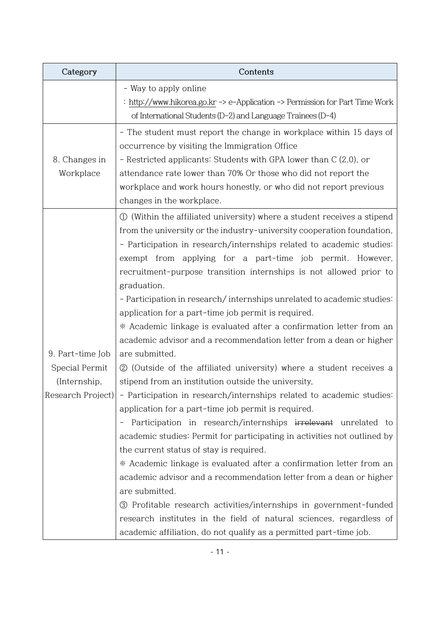| Category         | Contents                                                                               |
|------------------|----------------------------------------------------------------------------------------|
|                  | - Way to apply online                                                                  |
|                  | : http://www.hikorea.go.kr -> e-Application -> Permission for Part Time Work           |
|                  | of International Students (D-2) and Language Trainees (D-4)                            |
|                  | - The student must report the change in workplace within 15 days of                    |
|                  | occurrence by visiting the Immigration Office                                          |
| 8. Changes in    | - Restricted applicants: Students with GPA lower than C (2.0), or                      |
| Workplace        | attendance rate lower than 70% Or those who did not report the                         |
|                  | workplace and work hours honestly, or who did not report previous                      |
|                  | changes in the workplace.                                                              |
|                  | 1) (Within the affiliated university) where a student receives a stipend               |
|                  | from the university or the industry-university cooperation foundation,                 |
|                  | - Participation in research/internships related to academic studies:                   |
|                  | exempt from applying for a part-time job permit. However,                              |
|                  | recruitment-purpose transition internships is not allowed prior to                     |
|                  | graduation.                                                                            |
|                  | - Participation in research/internships unrelated to academic studies:                 |
|                  | application for a part-time job permit is required.                                    |
|                  | * Academic linkage is evaluated after a confirmation letter from an                    |
|                  | academic advisor and a recommendation letter from a dean or higher                     |
| 9. Part-time Job | are submitted.                                                                         |
| Special Permit   | 2 (Outside of the affiliated university) where a student receives a                    |
| (Internship,     | stipend from an institution outside the university,                                    |
|                  | Research Project) - Participation in research/internships related to academic studies: |
|                  | application for a part-time job permit is required.                                    |
|                  | Participation in research/internships irrelevant unrelated to                          |
|                  | academic studies: Permit for participating in activities not outlined by               |
|                  | the current status of stay is required.                                                |
|                  | * Academic linkage is evaluated after a confirmation letter from an                    |
|                  | academic advisor and a recommendation letter from a dean or higher                     |
|                  | are submitted.                                                                         |
|                  | <b>3</b> Profitable research activities/internships in government-funded               |
|                  | research institutes in the field of natural sciences, regardless of                    |
|                  | academic affiliation, do not qualify as a permitted part-time job.                     |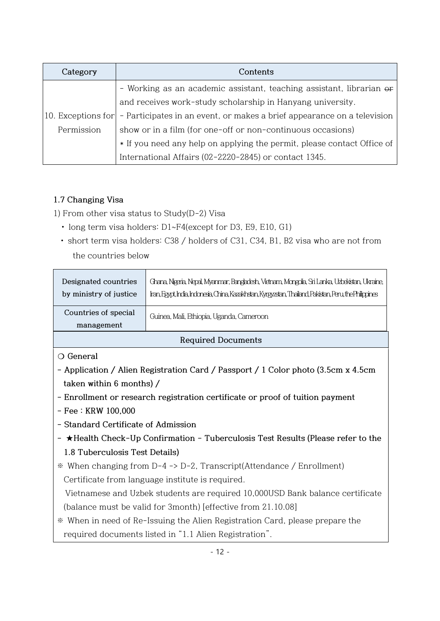| Category   | Contents                                                                                   |  |  |  |
|------------|--------------------------------------------------------------------------------------------|--|--|--|
|            | - Working as an academic assistant, teaching assistant, librarian or                       |  |  |  |
|            | and receives work-study scholarship in Hanyang university.                                 |  |  |  |
|            | 10. Exceptions for - Participates in an event, or makes a brief appearance on a television |  |  |  |
| Permission | show or in a film (for one-off or non-continuous occasions)                                |  |  |  |
|            | * If you need any help on applying the permit, please contact Office of                    |  |  |  |
|            | International Affairs (02-2220-2845) or contact 1345.                                      |  |  |  |

## **1.7 Changing Visa**

1) From other visa status to Study(D-2) Visa

- long term visa holders: D1~F4(except for D3, E9, E10, G1)
- short term visa holders: C38 / holders of C31, C34, B1, B2 visa who are not from the countries below

| Designated countries<br>by ministry of justice | Ghana, Nigeria, Nepal, Myanmar, Bangladesh, Vietnam, Mongolia, Sri Lanka, Uzbekistan, Ukraine,<br>Iran, Egypt, India, Indonesia, China, Kazakhstan, Kyrgyzstan, Thailand, Pakistan, Peru, the Philippines |
|------------------------------------------------|-----------------------------------------------------------------------------------------------------------------------------------------------------------------------------------------------------------|
| Countries of special<br>management             | Guinea, Mali, Ethiopia, Uganda, Cameroon                                                                                                                                                                  |
|                                                |                                                                                                                                                                                                           |

### **Required Documents**

**❍ General**

- **- Application / Alien Registration Card / Passport / 1 Color photo (3.5cm x 4.5cm taken within 6 months) /**
- **- Enrollment or research registration certificate or proof of tuition payment**
- **- Fee : KRW 100,000**
- **- Standard Certificate of Admission**
- **- ★Health Check-Up Confirmation - Tuberculosis Test Results (Please refer to the 1.8 Tuberculosis Test Details)**
- ※ When changing from D-4 -> D-2, Transcript(Attendance / Enrollment) Certificate from language institute is required.

 Vietnamese and Uzbek students are required 10,000USD Bank balance certificate (balance must be valid for 3month) [effective from 21.10.08]

※ When in need of Re-Issuing the Alien Registration Card, please prepare the required documents listed in "1.1 Alien Registration".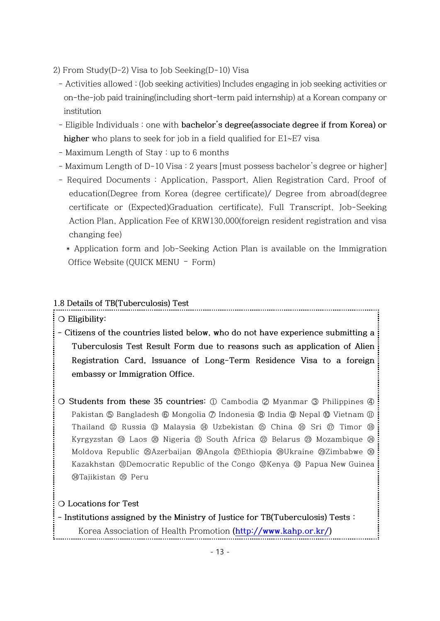- 2) From Study(D-2) Visa to Job Seeking(D-10) Visa
	- Activities allowed : (Job seeking activities) Includes engaging in job seeking activities or on-the-job paid training(including short-term paid internship) at a Korean company or institution
	- Eligible Individuals : one with **bachelor's degree(associate degree if from Korea) or higher** who plans to seek for job in a field qualified for E1~E7 visa
	- Maximum Length of Stay : up to 6 months
	- Maximum Length of D-10 Visa : 2 years [must possess bachelor's degree or higher]
	- Required Documents : Application, Passport, Alien Registration Card, Proof of education(Degree from Korea (degree certificate)/ Degree from abroad(degree certificate or (Expected)Graduation certificate), Full Transcript, Job-Seeking Action Plan, Application Fee of KRW130,000(foreign resident registration and visa changing fee)
		- \* Application form and Job-Seeking Action Plan is available on the Immigration Office Website (QUICK MENU – Form)

#### **1.8 Details of TB(Tuberculosis) Test**

- **❍ Eligibility:**
- **- Citizens of the countries listed below, who do not have experience submitting a Tuberculosis Test Result Form due to reasons such as application of Alien Registration Card, Issuance of Long-Term Residence Visa to a foreign embassy or Immigration Office.**
- **❍ Students from these 35 countries:** ① Cambodia ➁ Myanmar ➂ Philippines ➃ Pakistan ⑤ Bangladesh ⑥ Mongolia ⑦ Indonesia ⑧ India ⑨ Nepal ⑩ Vietnam ⑪ Thailand ⑫ Russia ⑬ Malaysia ⑭ Uzbekistan ⑮ China ⑯ Sri ⑰ Timor ⑱ Kyrgyzstan **⑨ Laos @ Nigeria @ South Africa @ Belarus @ Mozambique @** Moldova Republic ㉕Azerbaijan ㉖Angola ㉗Ethiopia ㉘Ukraine ㉙Zimbabwe ㉚ Kazakhstan ㉛Democratic Republic of the Congo ㉜Kenya ㉝ Papua New Guinea ㉞Tajikistan ㉟ Peru

#### **❍ Locations for Test**

- **- Institutions assigned by the Ministry of Justice for TB(Tuberculosis) Tests :**
	- Korea Association of Health Promotion **[\(http://www.kahp.or.kr/\)](http://www.kahp.or.kr/)**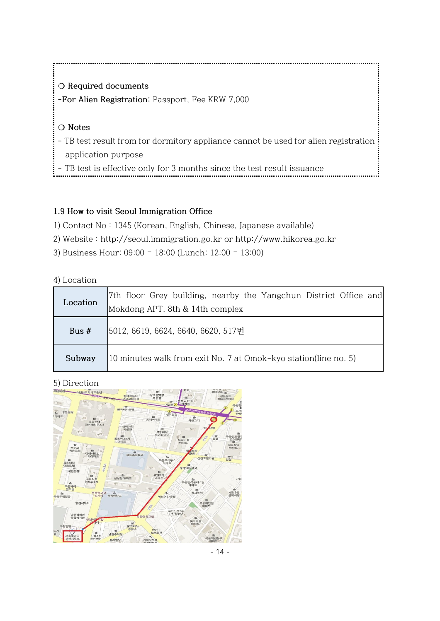**❍ Required documents** -**For Alien Registration:** Passport, Fee KRW 7,000 **❍ Notes -** TB test result from for dormitory appliance cannot be used for alien registration application purpose

- TB test is effective only for 3 months since the test result issuance

### **1.9 How to visit Seoul Immigration Office**

- 1) Contact No : 1345 (Korean, English, Chinese, Japanese available)
- 2) Website : [http://seoul.immigration.go.kr](http://seoul.immigration.go.kr/) or http://www.hikorea.go.kr
- 3) Business Hour: 09:00 18:00 (Lunch: 12:00 13:00)

#### 4) Location

| Location | 7th floor Grey building, nearby the Yangchun District Office and |
|----------|------------------------------------------------------------------|
|          | Mokdong APT. 8th & 14th complex                                  |
| Bus $#$  | 5012, 6619, 6624, 6640, 6620, 517번                               |
| Subway   | 10 minutes walk from exit No. 7 at Omok-kyo station(line no. 5)  |

## 5) Direction

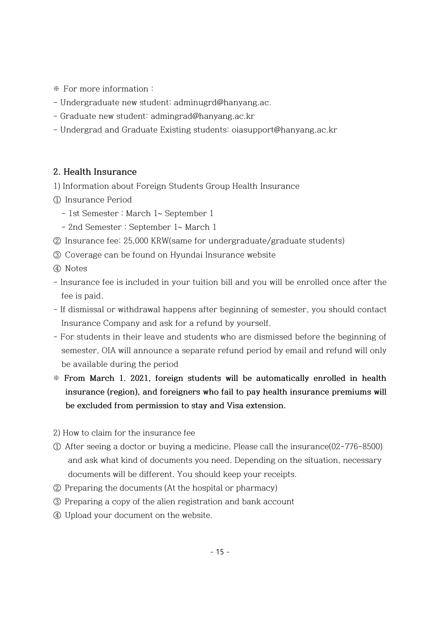※ For more information :

- Undergraduate new student: adminugrd@hanyang.ac.
- Graduate new student: admingrad@hanyang.ac.kr
- Undergrad and Graduate Existing students: oiasupport@hanyang.ac.kr

#### **2. Health Insurance**

- 1) Information about Foreign Students Group Health Insurance
- ① Insurance Period
	- 1st Semester : March 1~ September 1
	- 2nd Semester : September 1~ March 1
- ② Insurance fee: 25,000 KRW(same for undergraduate/graduate students)
- ③ Coverage can be found on Hyundai Insurance website
- ④ Notes
- Insurance fee is included in your tuition bill and you will be enrolled once after the fee is paid.
- If dismissal or withdrawal happens after beginning of semester, you should contact Insurance Company and ask for a refund by yourself.
- For students in their leave and students who are dismissed before the beginning of semester, OIA will announce a separate refund period by email and refund will only be available during the period
- ※ **From March 1. 2021, foreign students will be automatically enrolled in health insurance (region), and foreigners who fail to pay health insurance premiums will be excluded from permission to stay and Visa extension.**
- 2) How to claim for the insurance fee
- ① After seeing a doctor or buying a medicine, Please call the insurance(02-776-8500) and ask what kind of documents you need. Depending on the situation, necessary documents will be different. You should keep your receipts.
- ② Preparing the documents (At the hospital or pharmacy)
- ③ Preparing a copy of the alien registration and bank account
- ④ Upload your document on the website.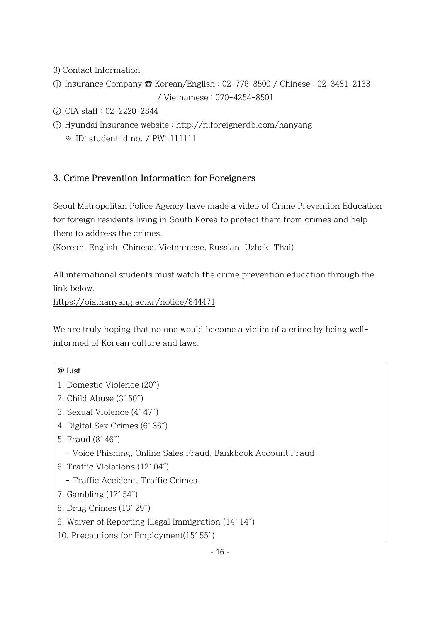- 3) Contact Information
- ① Insurance Company ☎ Korean/English : 02-776-8500 / Chinese : 02-3481-2133 / Vietnamese : 070-4254-8501
- ② OIA staff : 02-2220-2844
- ③ Hyundai Insurance website : http://n.foreignerdb.com/hanyang ※ ID: student id no. / PW: 111111

## **3. Crime Prevention Information for Foreigners**

Seoul Metropolitan Police Agency have made a video of Crime Prevention Education for foreign residents living in South Korea to protect them from crimes and help them to address the crimes.

(Korean, English, Chinese, Vietnamese, Russian, Uzbek, Thai)

All international students must watch the crime prevention education through the link below.

<https://oia.hanyang.ac.kr/notice/844471>

We are truly hoping that no one would become a victim of a crime by being wellinformed of Korean culture and laws.

#### **@ List**

- 1. Domestic Violence (20**˝**)
- 2. Child Abuse (3´ 50˝)
- 3. Sexual Violence (4´ 47˝)
- 4. Digital Sex Crimes (6´ 36˝)
- 5. Fraud (8´ 46˝)
	- Voice Phishing, Online Sales Fraud, Bankbook Account Fraud
- 6. Traffic Violations (12´ 04˝)
	- Traffic Accident, Traffic Crimes
- 7. Gambling (12´ 54˝)
- 8. Drug Crimes (13´ 29˝)
- 9. Waiver of Reporting Illegal Immigration (14´ 14˝)
- 10. Precautions for Employment(15´ 55˝)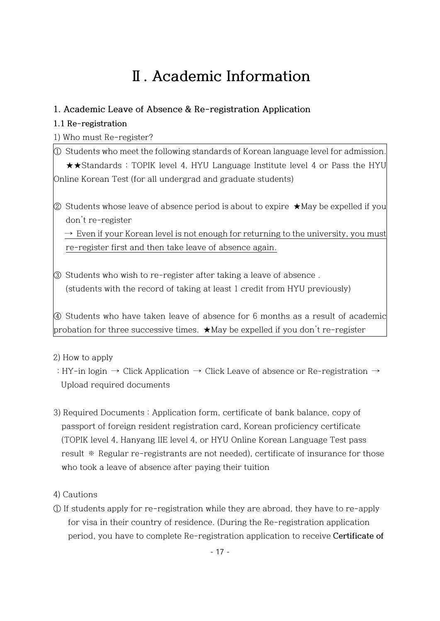# **Ⅱ. Academic Information**

## **1. Academic Leave of Absence & Re-registration Application**

## **1.1 Re-registration**

1) Who must Re-register?

① Students who meet the following standards of Korean language level for admission. ★★Standards : TOPIK level 4, HYU Language Institute level 4 or Pass the HYU Online Korean Test (for all undergrad and graduate students)

② Students whose leave of absence period is about to expire  $\star$ May be expelled if you don't re-register

 $\rightarrow$  Even if your Korean level is not enough for returning to the university, you must re-register first and then take leave of absence again.

③ Students who wish to re-register after taking a leave of absence . (students with the record of taking at least 1 credit from HYU previously)

④ Students who have taken leave of absence for 6 months as a result of academic probation for three successive times. ★May be expelled if you don't re-register

### 2) How to apply

- : HY-in login  $\rightarrow$  Click Application  $\rightarrow$  Click Leave of absence or Re-registration  $\rightarrow$ Upload required documents
- 3) Required Documents : Application form, certificate of bank balance, copy of passport of foreign resident registration card, Korean proficiency certificate (TOPIK level 4, Hanyang IIE level 4, or HYU Online Korean Language Test pass result ※ Regular re-registrants are not needed), certificate of insurance for those who took a leave of absence after paying their tuition
- 4) Cautions
- ① If students apply for re-registration while they are abroad, they have to re-apply for visa in their country of residence. (During the Re-registration application period, you have to complete Re-registration application to receive **Certificate of**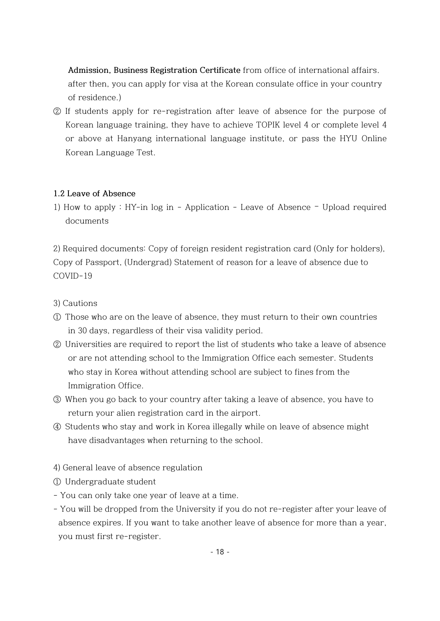**Admission, Business Registration Certificate** from office of international affairs. after then, you can apply for visa at the Korean consulate office in your country of residence.)

② If students apply for re-registration after leave of absence for the purpose of Korean language training, they have to achieve TOPIK level 4 or complete level 4 or above at Hanyang international language institute, or pass the HYU Online Korean Language Test.

#### **1.2 Leave of Absence**

1) How to apply : HY-in log in - Application - Leave of Absence – Upload required documents

2) Required documents: Copy of foreign resident registration card (Only for holders), Copy of Passport, (Undergrad) Statement of reason for a leave of absence due to COVID-19

3) Cautions

- ① Those who are on the leave of absence, they must return to their own countries in 30 days, regardless of their visa validity period.
- ② Universities are required to report the list of students who take a leave of absence or are not attending school to the Immigration Office each semester. Students who stay in Korea without attending school are subject to fines from the Immigration Office.
- ③ When you go back to your country after taking a leave of absence, you have to return your alien registration card in the airport.
- ④ Students who stay and work in Korea illegally while on leave of absence might have disadvantages when returning to the school.
- 4) General leave of absence regulation
- ① Undergraduate student
- You can only take one year of leave at a time.
- You will be dropped from the University if you do not re-register after your leave of absence expires. If you want to take another leave of absence for more than a year, you must first re-register.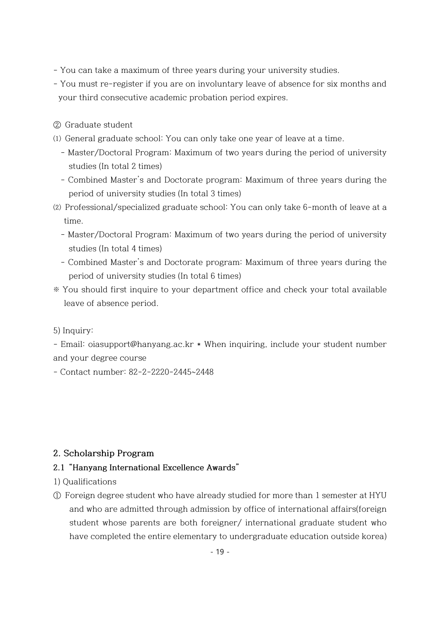- You can take a maximum of three years during your university studies.
- You must re-register if you are on involuntary leave of absence for six months and your third consecutive academic probation period expires.
- ② Graduate student
- ⑴ General graduate school: You can only take one year of leave at a time.
	- Master/Doctoral Program: Maximum of two years during the period of university studies (In total 2 times)
	- Combined Master's and Doctorate program: Maximum of three years during the period of university studies (In total 3 times)
- ⑵ Professional/specialized graduate school: You can only take 6-month of leave at a time.
	- Master/Doctoral Program: Maximum of two years during the period of university studies (In total 4 times)
	- Combined Master's and Doctorate program: Maximum of three years during the period of university studies (In total 6 times)
- ※ You should first inquire to your department office and check your total available leave of absence period.

#### 5) Inquiry:

- Email: oiasupport@hanyang.ac.kr \* When inquiring, include your student number and your degree course

- Contact number: 82-2-2220-2445~2448

#### **2. Scholarship Program**

#### **2.1 "Hanyang International Excellence Awards"**

- 1) Qualifications
- ① Foreign degree student who have already studied for more than 1 semester at HYU and who are admitted through admission by office of international affairs(foreign student whose parents are both foreigner/ international graduate student who have completed the entire elementary to undergraduate education outside korea)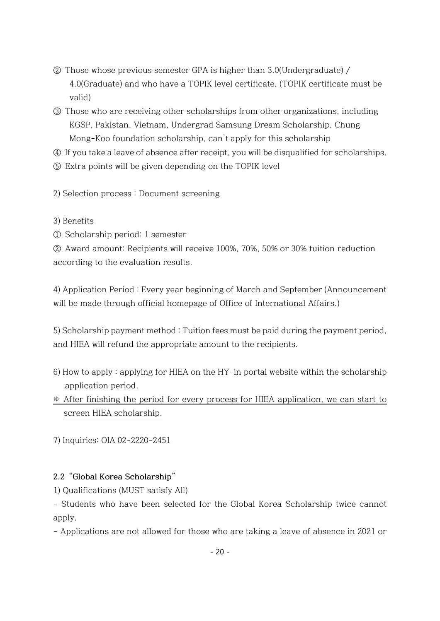- ② Those whose previous semester GPA is higher than 3.0(Undergraduate) / 4.0(Graduate) and who have a TOPIK level certificate. (TOPIK certificate must be valid)
- ③ Those who are receiving other scholarships from other organizations, including KGSP, Pakistan, Vietnam, Undergrad Samsung Dream Scholarship, Chung Mong-Koo foundation scholarship, can't apply for this scholarship
- ④ If you take a leave of absence after receipt, you will be disqualified for scholarships.
- ⑤ Extra points will be given depending on the TOPIK level
- 2) Selection process : Document screening
- 3) Benefits
- ① Scholarship period: 1 semester

② Award amount: Recipients will receive 100%, 70%, 50% or 30% tuition reduction according to the evaluation results.

4) Application Period : Every year beginning of March and September (Announcement will be made through official homepage of Office of International Affairs.)

5) Scholarship payment method : Tuition fees must be paid during the payment period, and HIEA will refund the appropriate amount to the recipients.

- 6) How to apply : applying for HIEA on the HY-in portal website within the scholarship application period.
- ※ After finishing the period for every process for HIEA application, we can start to screen HIEA scholarship.

7) Inquiries: OIA 02-2220-2451

### **2.2 "Global Korea Scholarship"**

1) Qualifications (MUST satisfy All)

- Students who have been selected for the Global Korea Scholarship twice cannot apply.

- Applications are not allowed for those who are taking a leave of absence in 2021 or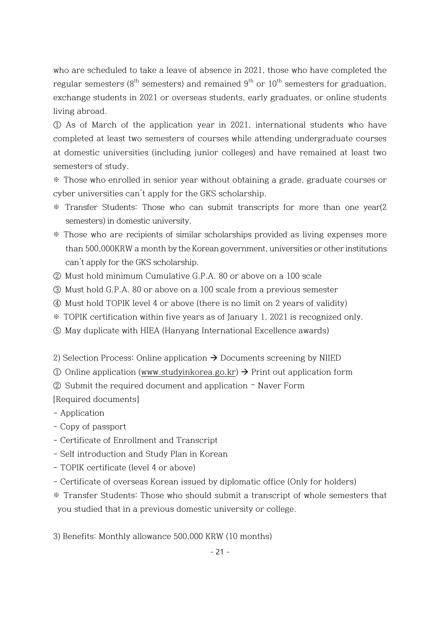who are scheduled to take a leave of absence in 2021, those who have completed the regular semesters ( $8<sup>th</sup>$  semesters) and remained  $9<sup>th</sup>$  or  $10<sup>th</sup>$  semesters for graduation, exchange students in 2021 or overseas students, early graduates, or online students living abroad.

① As of March of the application year in 2021, international students who have completed at least two semesters of courses while attending undergraduate courses at domestic universities (including junior colleges) and have remained at least two semesters of study.

※ Those who enrolled in senior year without obtaining a grade, graduate courses or cyber universities can't apply for the GKS scholarship.

- ※ Transfer Students: Those who can submit transcripts for more than one year(2 semesters) in domestic university.
- ※ Those who are recipients of similar scholarships provided as living expenses more than 500,000KRW a month by the Korean government, universities or other institutions can't apply for the GKS scholarship.
- ② Must hold minimum Cumulative G.P.A. 80 or above on a 100 scale
- ③ Must hold G.P.A. 80 or above on a 100 scale from a previous semester
- ④ Must hold TOPIK level 4 or above (there is no limit on 2 years of validity)
- ※ TOPIK certification within five years as of January 1, 2021 is recognized only.
- ⑤ May duplicate with HIEA (Hanyang International Excellence awards)
- 2) Selection Process: Online application  $\rightarrow$  Documents screening by NIIED
- ① Online application [\(www.studyinkorea.go.kr\)](http://www.studyinkorea.go.kr/) → Print out application form
- ② Submit the required document and application Naver Form

[Required documents]

- Application
- Copy of passport
- Certificate of Enrollment and Transcript
- Self introduction and Study Plan in Korean
- TOPIK certificate (level 4 or above)
- Certificate of overseas Korean issued by diplomatic office (Only for holders)
- ※ Transfer Students: Those who should submit a transcript of whole semesters that you studied that in a previous domestic university or college.
- 3) Benefits: Monthly allowance 500,000 KRW (10 months)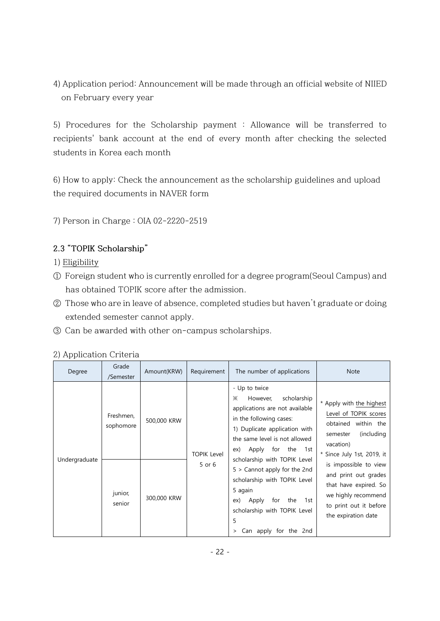4) Application period: Announcement will be made through an official website of NIIED on February every year

5) Procedures for the Scholarship payment : Allowance will be transferred to recipients' bank account at the end of every month after checking the selected students in Korea each month

6) How to apply: Check the announcement as the scholarship guidelines and upload the required documents in NAVER form

7) Person in Charge : OIA 02-2220-2519

## **2.3 "TOPIK Scholarship"**

- 1) [Eligibility](http://endic.naver.com/enkrIdiom.nhn?idiomId=b79d8fa236b447e2a14e28a5c8775295&query=%EC%8B%A0%EC%B2%AD%EC%9E%90%EA%B2%A9)
- ① Foreign student who is currently enrolled for a degree program(Seoul Campus) and has obtained TOPIK score after the admission.
- ② Those who are in leave of absence, completed studies but haven't graduate or doing extended semester cannot apply.
- ③ Can be awarded with other on-campus scholarships.

| - Up to twice<br>scholarship<br>However,<br>Ж<br>applications are not available<br>Freshmen,<br>in the following cases:<br>500,000 KRW                                                                                                                                                                                                                                                                                 | Degree | Grade<br>/Semester | Amount(KRW) | Requirement | The number of applications    | <b>Note</b>                                                                                                                                                                                                                                      |
|------------------------------------------------------------------------------------------------------------------------------------------------------------------------------------------------------------------------------------------------------------------------------------------------------------------------------------------------------------------------------------------------------------------------|--------|--------------------|-------------|-------------|-------------------------------|--------------------------------------------------------------------------------------------------------------------------------------------------------------------------------------------------------------------------------------------------|
| semester<br>the same level is not allowed<br>vacation)<br>for the 1st<br>Apply<br>ex)<br><b>TOPIK Level</b><br>scholarship with TOPIK Level<br>Undergraduate<br>5 or 6<br>$5 >$ Cannot apply for the 2nd<br>scholarship with TOPIK Level<br>5 again<br>junior,<br>300,000 KRW<br>for<br>Apply<br>the<br>1st<br>ex)<br>senior<br>scholarship with TOPIK Level<br>the expiration date<br>5<br>Can apply for the 2nd<br>> |        | sophomore          |             |             | 1) Duplicate application with | * Apply with the highest<br>Level of TOPIK scores<br>obtained within the<br>(including)<br>* Since July 1st, 2019, it<br>is impossible to view<br>and print out grades<br>that have expired. So<br>we highly recommend<br>to print out it before |

#### 2) Application Criteria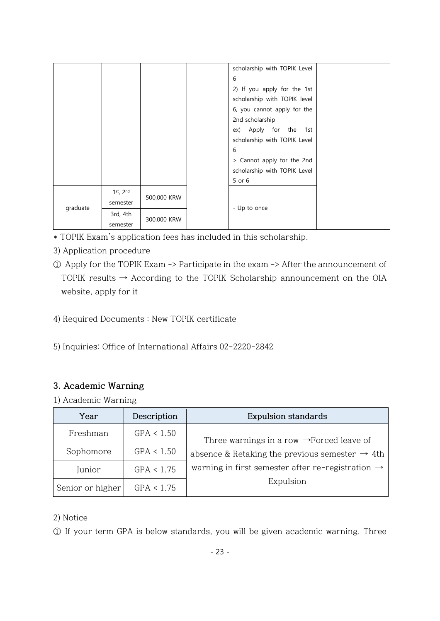|          |                                     |                              |              | scholarship with TOPIK Level |  |
|----------|-------------------------------------|------------------------------|--------------|------------------------------|--|
|          |                                     |                              |              | 6                            |  |
|          |                                     |                              |              | 2) If you apply for the 1st  |  |
|          |                                     | scholarship with TOPIK level |              |                              |  |
|          |                                     |                              |              | 6, you cannot apply for the  |  |
|          |                                     |                              |              | 2nd scholarship              |  |
|          |                                     |                              |              | ex) Apply for the 1st        |  |
|          |                                     |                              |              | scholarship with TOPIK Level |  |
|          |                                     |                              |              | 6                            |  |
|          |                                     |                              |              | > Cannot apply for the 2nd   |  |
|          |                                     |                              |              | scholarship with TOPIK Level |  |
|          |                                     |                              |              | 5 or 6                       |  |
|          | $1st$ , $2nd$                       | 500,000 KRW                  |              |                              |  |
| graduate | semester                            |                              |              |                              |  |
|          | 3rd, 4th<br>300,000 KRW<br>semester |                              | - Up to once |                              |  |
|          |                                     |                              |              |                              |  |

- \* TOPIK Exam's application fees has included in this scholarship.
- 3) Application procedure
- ① Apply for the TOPIK Exam -> Participate in the exam -> After the announcement of TOPIK results  $\rightarrow$  According to the TOPIK Scholarship announcement on the OIA website, apply for it
- 4) Required Documents : New TOPIK certificate
- 5) Inquiries: Office of International Affairs 02-2220-2842

## **3. Academic Warning**

1) Academic Warning

| Year             | Description | <b>Expulsion standards</b>                                    |
|------------------|-------------|---------------------------------------------------------------|
| Freshman         | GPA < 1.50  | Three warnings in a row $\rightarrow$ Forced leave of         |
| Sophomore        | GPA < 1.50  | absence & Retaking the previous semester $\rightarrow$ 4th    |
| Junior           | GPA < 1.75  | warning in first semester after re-registration $\rightarrow$ |
| Senior or higher | GPA < 1.75  | Expulsion                                                     |

#### 2) Notice

① If your term GPA is below standards, you will be given academic warning. Three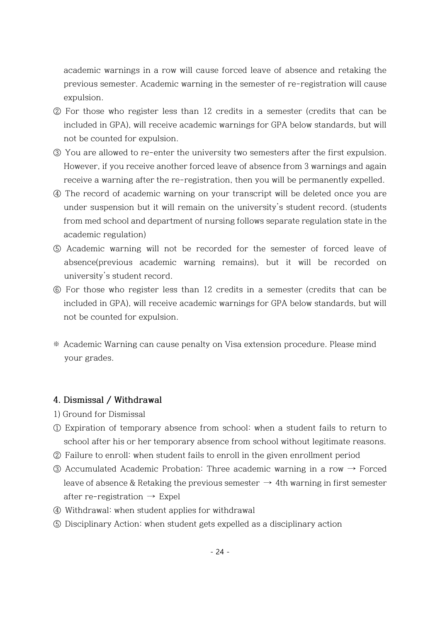academic warnings in a row will cause forced leave of absence and retaking the previous semester. Academic warning in the semester of re-registration will cause expulsion.

- ② For those who register less than 12 credits in a semester (credits that can be included in GPA), will receive academic warnings for GPA below standards, but will not be counted for expulsion.
- ③ You are allowed to re-enter the university two semesters after the first expulsion. However, if you receive another forced leave of absence from 3 warnings and again receive a warning after the re-registration, then you will be permanently expelled.
- ④ The record of academic warning on your transcript will be deleted once you are under suspension but it will remain on the university's student record. (students from med school and department of nursing follows separate regulation state in the academic regulation)
- ⑤ Academic warning will not be recorded for the semester of forced leave of absence(previous academic warning remains), but it will be recorded on university's student record.
- ⑥ For those who register less than 12 credits in a semester (credits that can be included in GPA), will receive academic warnings for GPA below standards, but will not be counted for expulsion.
- ※ Academic Warning can cause penalty on Visa extension procedure. Please mind your grades.

#### **4. Dismissal / Withdrawal**

- 1) Ground for Dismissal
- ① Expiration of temporary absence from school: when a student fails to return to school after his or her temporary absence from school without legitimate reasons.
- ② Failure to enroll: when student fails to enroll in the given enrollment period
- ③ Accumulated Academic Probation: Three academic warning in a row → Forced leave of absence & Retaking the previous semester  $\rightarrow$  4th warning in first semester after re-registration  $\rightarrow$  Expel
- ④ Withdrawal: when student applies for withdrawal
- ⑤ Disciplinary Action: when student gets expelled as a disciplinary action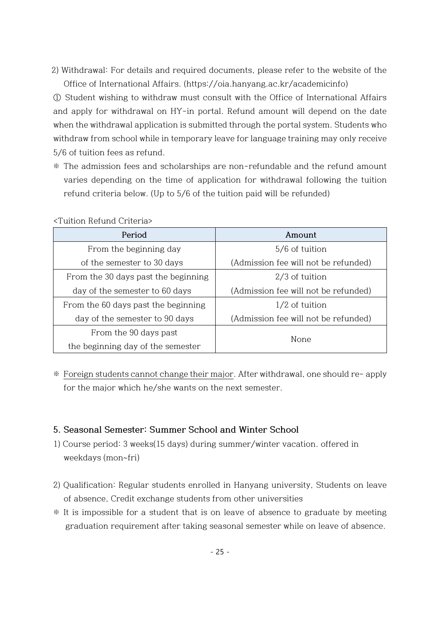2) Withdrawal: For details and required documents, please refer to the website of the Office of International Affairs. (https://oia.hanyang.ac.kr/academicinfo)

① Student wishing to withdraw must consult with the Office of International Affairs and apply for withdrawal on HY-in portal. Refund amount will depend on the date when the withdrawal application is submitted through the portal system. Students who withdraw from school while in temporary leave for language training may only receive 5/6 of tuition fees as refund.

※ The admission fees and scholarships are non-refundable and the refund amount varies depending on the time of application for withdrawal following the tuition refund criteria below. (Up to 5/6 of the tuition paid will be refunded)

| Period                              | Amount                               |  |
|-------------------------------------|--------------------------------------|--|
| From the beginning day              | 5/6 of tuition                       |  |
| of the semester to 30 days          | (Admission fee will not be refunded) |  |
| From the 30 days past the beginning | $2/3$ of tuition                     |  |
| day of the semester to 60 days      | (Admission fee will not be refunded) |  |
| From the 60 days past the beginning | $1/2$ of tuition                     |  |
| day of the semester to 90 days      | (Admission fee will not be refunded) |  |
| From the 90 days past               |                                      |  |
| the beginning day of the semester   | None                                 |  |

<Tuition Refund Criteria>

※ Foreign students cannot change their major. After withdrawal, one should re- apply for the major which he/she wants on the next semester.

#### **5. Seasonal Semester: Summer School and Winter School**

- 1) Course period: 3 weeks(15 days) during summer/winter vacation. offered in weekdays (mon~fri)
- 2) Qualification: Regular students enrolled in Hanyang university, Students on leave of absence, Credit exchange students from other universities
- ※ It is impossible for a student that is on leave of absence to graduate by meeting graduation requirement after taking seasonal semester while on leave of absence.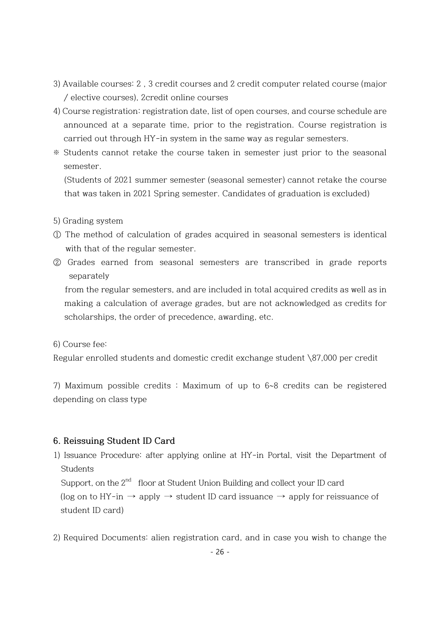- 3) Available courses: 2 , 3 credit courses and 2 credit computer related course (major / elective courses), 2credit online courses
- 4) Course registration: registration date, list of open courses, and course schedule are announced at a separate time, prior to the registration. Course registration is carried out through HY-in system in the same way as regular semesters.
- ※ Students cannot retake the course taken in semester just prior to the seasonal semester.

(Students of 2021 summer semester (seasonal semester) cannot retake the course that was taken in 2021 Spring semester. Candidates of graduation is excluded)

- 5) Grading system
- ① The method of calculation of grades acquired in seasonal semesters is identical with that of the regular semester.
- ② Grades earned from seasonal semesters are transcribed in grade reports separately

from the regular semesters, and are included in total acquired credits as well as in making a calculation of average grades, but are not acknowledged as credits for scholarships, the order of precedence, awarding, etc.

6) Course fee:

Regular enrolled students and domestic credit exchange student \87,000 per credit

7) Maximum possible credits : Maximum of up to 6~8 credits can be registered depending on class type

#### **6. Reissuing Student ID Card**

1) Issuance Procedure: after applying online at HY-in Portal, visit the Department of **Students** 

Support, on the  $2<sup>nd</sup>$  floor at Student Union Building and collect your ID card

(log on to HY-in  $\rightarrow$  apply  $\rightarrow$  student ID card issuance  $\rightarrow$  apply for reissuance of student ID card)

2) Required Documents: alien registration card, and in case you wish to change the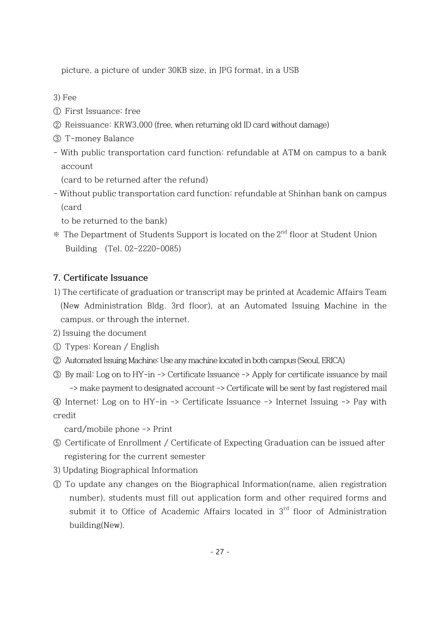picture, a picture of under 30KB size, in JPG format, in a USB

3) Fee

- ① First Issuance: free
- ② Reissuance: KRW3,000 (free, when returning old ID card without damage)
- ③ T-money Balance
- With public transportation card function: refundable at ATM on campus to a bank account

(card to be returned after the refund)

- Without public transportation card function: refundable at Shinhan bank on campus (card

to be returned to the bank)

※ The Department of Students Support is located on the 2 nd floor at Student Union Building (Tel. 02-2220-0085)

## **7. Certificate Issuance**

- 1) The certificate of graduation or transcript may be printed at Academic Affairs Team (New Administration Bldg. 3rd floor), at an Automated Issuing Machine in the campus, or through the internet.
- 2) Issuing the document
- ① Types: Korean / English
- ② Automated Issuing Machine: Use any machine located in both campus (Seoul, ERICA)
- ③ By mail: Log on to HY-in -> Certificate Issuance -> Apply for certificate issuance by mail -> make payment to designated account -> Certificate will be sent by fast registered mail
- ④ Internet: Log on to HY-in -> Certificate Issuance -> Internet Issuing -> Pay with credit

card/mobile phone -> Print

- ⑤ Certificate of Enrollment / Certificate of Expecting Graduation can be issued after registering for the current semester
- 3) Updating Biographical Information
- ① To update any changes on the Biographical Information(name, alien registration number), students must fill out application form and other required forms and submit it to Office of Academic Affairs located in 3<sup>rd</sup> floor of Administration building(New).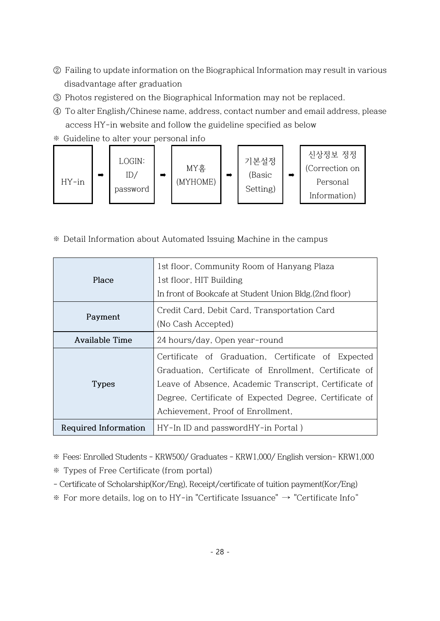- ② Failing to update information on the Biographical Information may result in various disadvantage after graduation
- ③ Photos registered on the Biographical Information may not be replaced.
- ④ To alter English/Chinese name, address, contact number and email address, please access HY-in website and follow the guideline specified as below
- ※ Guideline to alter your personal info



※ Detail Information about Automated Issuing Machine in the campus

|                      | 1st floor, Community Room of Hanyang Plaza              |  |  |  |  |
|----------------------|---------------------------------------------------------|--|--|--|--|
| Place                | 1st floor, HIT Building                                 |  |  |  |  |
|                      | In front of Bookcafe at Student Union Bldg. (2nd floor) |  |  |  |  |
|                      | Credit Card, Debit Card, Transportation Card            |  |  |  |  |
| Payment              | (No Cash Accepted)                                      |  |  |  |  |
| Available Time       | 24 hours/day, Open year-round                           |  |  |  |  |
|                      | Certificate of Graduation, Certificate of Expected      |  |  |  |  |
|                      | Graduation, Certificate of Enrollment, Certificate of   |  |  |  |  |
| <b>Types</b>         | Leave of Absence, Academic Transcript, Certificate of   |  |  |  |  |
|                      | Degree, Certificate of Expected Degree, Certificate of  |  |  |  |  |
|                      | Achievement, Proof of Enrollment,                       |  |  |  |  |
| Required Information | HY-In ID and passwordHY-in Portal)                      |  |  |  |  |

※ Fees: Enrolled Students - KRW500/ Graduates - KRW1,000/ English version- KRW1,000

※ Types of Free Certificate (from portal)

- Certificate of Scholarship(Kor/Eng), Receipt/certificate of tuition payment(Kor/Eng)
- ※ For more details, log on to HY-in "Certificate Issuance" → "Certificate Info"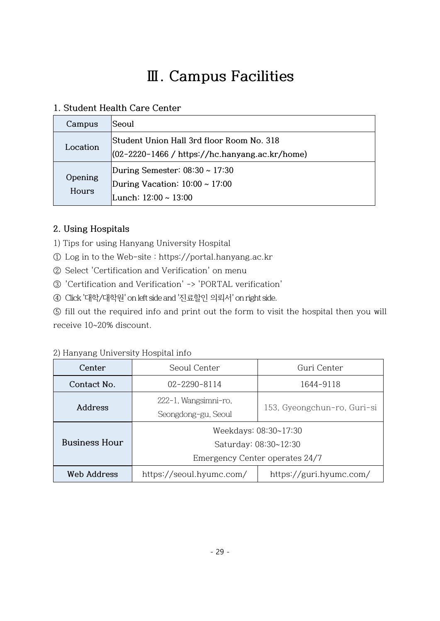# **Ⅲ. Campus Facilities**

## **1. Student Health Care Center**

| Campus           | Seoul                                                                                              |
|------------------|----------------------------------------------------------------------------------------------------|
| Location         | Student Union Hall 3rd floor Room No. 318<br>(02-2220-1466 / https://hc.hanyang.ac.kr/home)        |
| Opening<br>Hours | During Semester: $08:30 \sim 17:30$<br>During Vacation: $10:00 \sim 17:00$<br>Lunch: 12:00 ~ 13:00 |

## **2. Using Hospitals**

- 1) Tips for using Hanyang University Hospital
- ① Log in to the Web-site : https://portal.hanyang.ac.kr
- ② Select 'Certification and Verification' on menu
- ③ 'Certification and Verification' -> 'PORTAL verification'
- ④ Click '대학/대학원' on left side and '진료할인 의뢰서' on right side.

⑤ fill out the required info and print out the form to visit the hospital then you will receive 10~20% discount.

| Center               | Seoul Center                                | Guri Center                                                                      |  |
|----------------------|---------------------------------------------|----------------------------------------------------------------------------------|--|
| Contact No.          | $02 - 2290 - 8114$                          | 1644-9118                                                                        |  |
| Address              | 222-1, Wangsimni-ro,<br>Seongdong-gu, Seoul | 153, Gyeongchun-ro, Guri-si                                                      |  |
| <b>Business Hour</b> |                                             | Weekdays: 08:30~17:30<br>Saturday: 08:30~12:30<br>Emergency Center operates 24/7 |  |
| Web Address          | https://seoul.hyumc.com/                    | https://guri.hyumc.com/                                                          |  |

2) Hanyang University Hospital info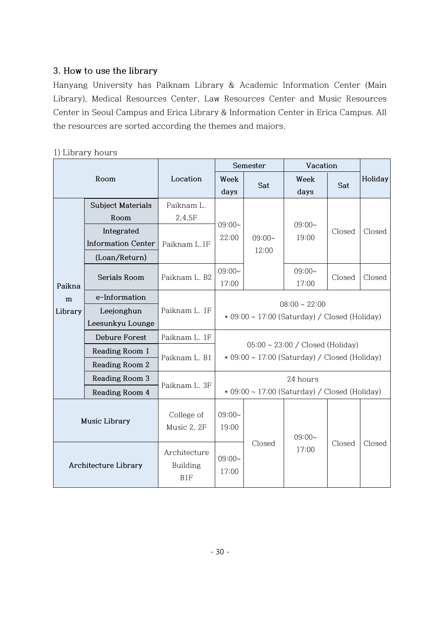## **3. How to use the library**

Hanyang University has Paiknam Library & Academic Information Center (Main Library), Medical Resources Center, Law Resources Center and Music Resources Center in Seoul Campus and Erica Library & Information Center in Erica Campus. All the resources are sorted according the themes and majors.

## 1) Library hours

| Room                 |                           |                                        |                                                                                        | Semester | Vacation          |        |         |
|----------------------|---------------------------|----------------------------------------|----------------------------------------------------------------------------------------|----------|-------------------|--------|---------|
|                      |                           | Location                               | Week<br>days                                                                           | Sat      | Week<br>days      | Sat    | Holiday |
|                      | <b>Subject Materials</b>  | Paiknam L.                             |                                                                                        |          |                   | Closed | Closed  |
|                      | Room                      | 2,4,5F                                 |                                                                                        |          |                   |        |         |
|                      | Integrated                |                                        | $09:00-$                                                                               |          | $09:00-$          |        |         |
|                      | <b>Information Center</b> | Paiknam L.1F                           | 22:00                                                                                  | $09:00-$ | 19:00             |        |         |
|                      | (Loan/Return)             |                                        |                                                                                        | 12:00    |                   |        |         |
| Paikna               | Serials Room              | Paiknam L. B2                          | 09:00~<br>17:00                                                                        |          | $09:00-$<br>17:00 | Closed | Closed  |
| m                    | e-Information             |                                        |                                                                                        |          |                   |        |         |
| Library              | Leejonghun                | Paiknam L. 1F                          | $08:00 \sim 22:00$                                                                     |          |                   |        |         |
| Leesunkyu Lounge     |                           |                                        | * 09:00 ~ 17:00 (Saturday) / Closed (Holiday)                                          |          |                   |        |         |
|                      | <b>Debure Forest</b>      | Paiknam L. 1F                          |                                                                                        |          |                   |        |         |
|                      | Reading Room 1            |                                        | $05:00 \sim 23:00$ / Closed (Holiday)<br>* 09:00 ~ 17:00 (Saturday) / Closed (Holiday) |          |                   |        |         |
|                      | Reading Room 2            | Paiknam L. B1                          |                                                                                        |          |                   |        |         |
|                      | Reading Room 3            |                                        | 24 hours<br>$*$ 09:00 ~ 17:00 (Saturday) / Closed (Holiday)                            |          |                   |        |         |
|                      | Reading Room 4            | Paiknam L. 3F                          |                                                                                        |          |                   |        |         |
| Music Library        |                           | College of<br>Music 2, 2F              | 09:00~<br>19:00                                                                        |          | $09:00-$          |        |         |
| Architecture Library |                           | Architecture<br><b>Building</b><br>B1F | $09:00 \sim$<br>17:00                                                                  | Closed   | 17:00             | Closed | Closed  |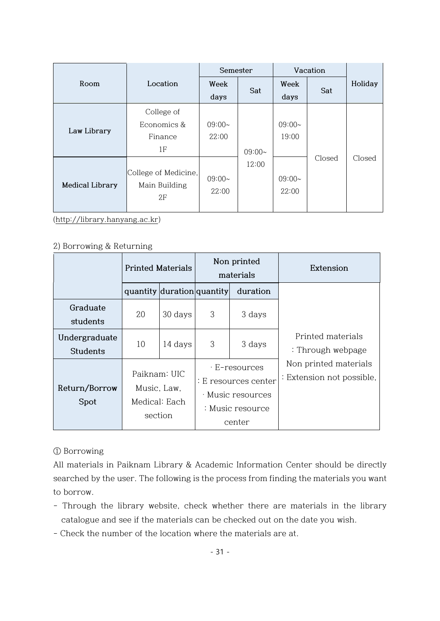|                 |                                             | Semester          |          | Vacation          |        |         |
|-----------------|---------------------------------------------|-------------------|----------|-------------------|--------|---------|
| Room            | Location                                    | Week              | Sat      | Week              | Sat    | Holiday |
|                 |                                             | days              |          | days              |        |         |
|                 | College of                                  |                   |          |                   |        |         |
| Law Library     | Economics &                                 | $09:00-$          |          | $09:00-$          |        |         |
|                 | Finance                                     | 22:00             |          | 19:00             |        |         |
|                 | 1F                                          |                   | $09:00-$ |                   |        |         |
| Medical Library | College of Medicine,<br>Main Building<br>2F | $09:00-$<br>22:00 | 12:00    | $09:00-$<br>22:00 | Closed | Closed  |

[\(http://library.hanyang.ac.kr\)](http://library.hanyang.ac.kr/)

#### 2) Borrowing & Returning

|                                  | <b>Printed Materials</b>                                |                            | Non printed<br>materials |                                                                                          | Extension                                          |
|----------------------------------|---------------------------------------------------------|----------------------------|--------------------------|------------------------------------------------------------------------------------------|----------------------------------------------------|
|                                  |                                                         | quantity duration quantity |                          | duration                                                                                 |                                                    |
| Graduate<br>students             | 20                                                      | 30 days                    | 3                        | 3 days                                                                                   |                                                    |
| Undergraduate<br><b>Students</b> | 10                                                      | 14 days                    | 3                        | 3 days                                                                                   | Printed materials<br>: Through webpage             |
| Return/Borrow<br>Spot            | Paiknam: UIC<br>Music, Law,<br>Medical: Each<br>section |                            |                          | · E-resources<br>: E resources center<br>· Music resources<br>: Music resource<br>center | Non printed materials<br>: Extension not possible, |

① Borrowing

All materials in Paiknam Library & Academic Information Center should be directly searched by the user. The following is the process from finding the materials you want to borrow.

- Through the library website, check whether there are materials in the library catalogue and see if the materials can be checked out on the date you wish.
- Check the number of the location where the materials are at.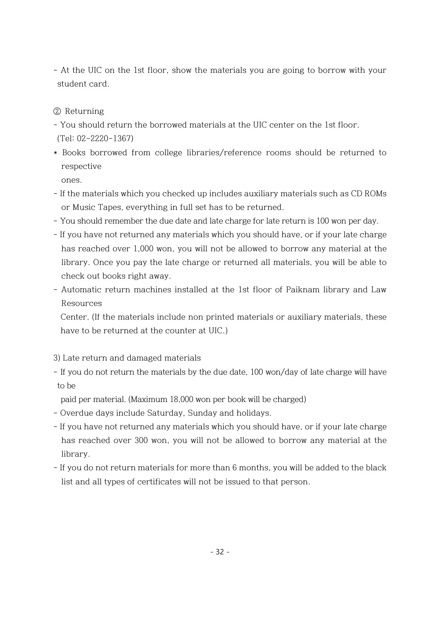- At the UIC on the 1st floor, show the materials you are going to borrow with your student card.
- ② Returning
- You should return the borrowed materials at the UIC center on the 1st floor. (Tel: 02-2220-1367)
- \* Books borrowed from college libraries/reference rooms should be returned to respective

ones.

- If the materials which you checked up includes auxiliary materials such as CD ROMs or Music Tapes, everything in full set has to be returned.
- You should remember the due date and late charge for late return is 100 won per day.
- If you have not returned any materials which you should have, or if your late charge has reached over 1,000 won, you will not be allowed to borrow any material at the library. Once you pay the late charge or returned all materials, you will be able to check out books right away.
- Automatic return machines installed at the 1st floor of Paiknam library and Law Resources

Center. (If the materials include non printed materials or auxiliary materials, these have to be returned at the counter at UIC.)

- 3) Late return and damaged materials
- If you do not return the materials by the due date, 100 won/day of late charge will have to be

paid per material. (Maximum 18,000 won per book will be charged)

- Overdue days include Saturday, Sunday and holidays.
- If you have not returned any materials which you should have, or if your late charge has reached over 300 won, you will not be allowed to borrow any material at the library.
- If you do not return materials for more than 6 months, you will be added to the black list and all types of certificates will not be issued to that person.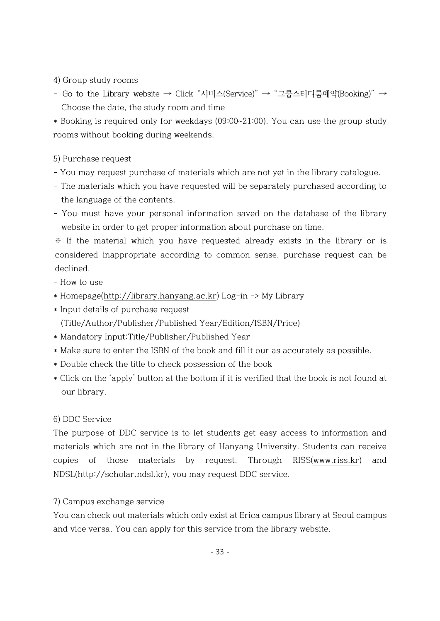4) Group study rooms

- Go to the Library website → Click "서비스(Service)" → "그룹스터디룸예약(Booking)" → Choose the date, the study room and time

\* Booking is required only for weekdays (09:00~21:00). You can use the group study rooms without booking during weekends.

#### 5) Purchase request

- You may request purchase of materials which are not yet in the library catalogue.
- The materials which you have requested will be separately purchased according to the language of the contents.
- You must have your personal information saved on the database of the library website in order to get proper information about purchase on time.

※ If the material which you have requested already exists in the library or is considered inappropriate according to common sense, purchase request can be declined.

- How to use

- \* Homepage[\(http://library.hanyang.ac.kr\)](http://library.hanyang.ac.kr/) Log-in -> My Library
- \* Input details of purchase request (Title/Author/Publisher/Published Year/Edition/ISBN/Price)
- \* Mandatory Input:Title/Publisher/Published Year
- \* Make sure to enter the ISBN of the book and fill it our as accurately as possible.
- \* Double check the title to check possession of the book
- \* Click on the 'apply' button at the bottom if it is verified that the book is not found at our library.

### 6) DDC Service

The purpose of DDC service is to let students get easy access to information and materials which are not in the library of Hanyang University. Students can receive copies of those materials by request. Through RISS[\(www.riss.kr\)](http://www.riss.kr/) and NDSL(http://scholar.ndsl.kr), you may request DDC service.

### 7) Campus exchange service

You can check out materials which only exist at Erica campus library at Seoul campus and vice versa. You can apply for this service from the library website.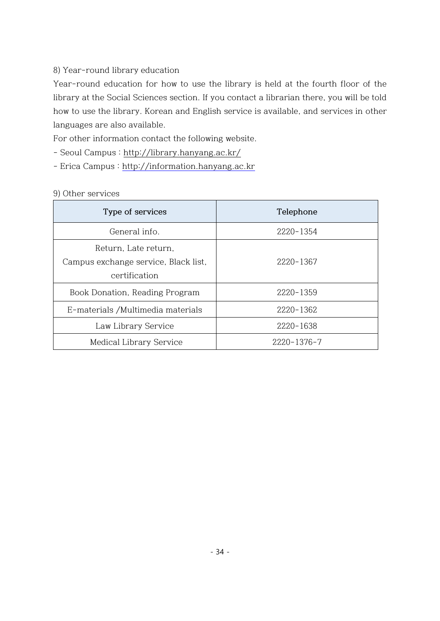### 8) Year-round library education

Year-round education for how to use the library is held at the fourth floor of the library at the Social Sciences section. If you contact a librarian there, you will be told how to use the library. Korean and English service is available, and services in other languages are also available.

For other information contact the following website.

- Seoul Campus :<http://library.hanyang.ac.kr/>
- Erica Campus : [http://information.hanyang.ac.kr](http://information.hanyang.ac.kr/)

#### 9) Other services

| Type of services                                                              | Telephone   |
|-------------------------------------------------------------------------------|-------------|
| General info.                                                                 | 2220-1354   |
| Return, Late return,<br>Campus exchange service, Black list,<br>certification | 2220-1367   |
| Book Donation, Reading Program                                                | 2220-1359   |
| E-materials / Multimedia materials                                            | 2220-1362   |
| Law Library Service                                                           | 2220-1638   |
| Medical Library Service                                                       | 2220-1376-7 |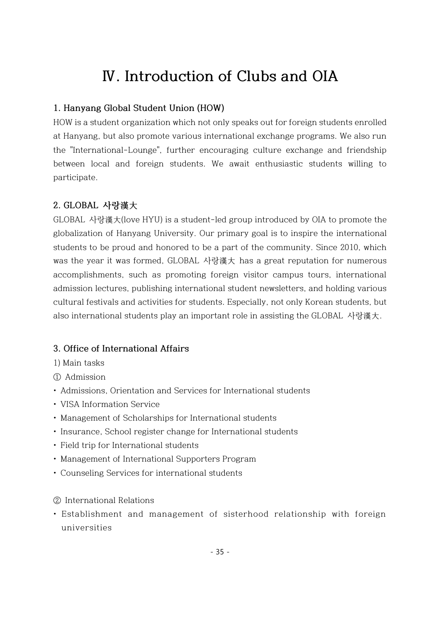## **Ⅳ. Introduction of Clubs and OIA**

## **1. Hanyang Global Student Union (HOW)**

HOW is a student organization which not only speaks out for foreign students enrolled at Hanyang, but also promote various international exchange programs. We also run the "International-Lounge", further encouraging culture exchange and friendship between local and foreign students. We await enthusiastic students willing to participate.

### **2. GLOBAL 사랑漢大**

GLOBAL 사랑漢大(love HYU) is a student-led group introduced by OIA to promote the globalization of Hanyang University. Our primary goal is to inspire the international students to be proud and honored to be a part of the community. Since 2010, which was the year it was formed, GLOBAL 사랑漢大 has a great reputation for numerous accomplishments, such as promoting foreign visitor campus tours, international admission lectures, publishing international student newsletters, and holding various cultural festivals and activities for students. Especially, not only Korean students, but also international students play an important role in assisting the GLOBAL 사랑漢大.

### **3. Office of International Affairs**

1) Main tasks

① Admission

- Admissions, Orientation and Services for International students
- VISA Information Service
- Management of Scholarships for International students
- Insurance, School register change for International students
- Field trip for International students
- Management of International Supporters Program
- Counseling Services for international students
- ② International Relations
- Establishment and management of sisterhood relationship with foreign universities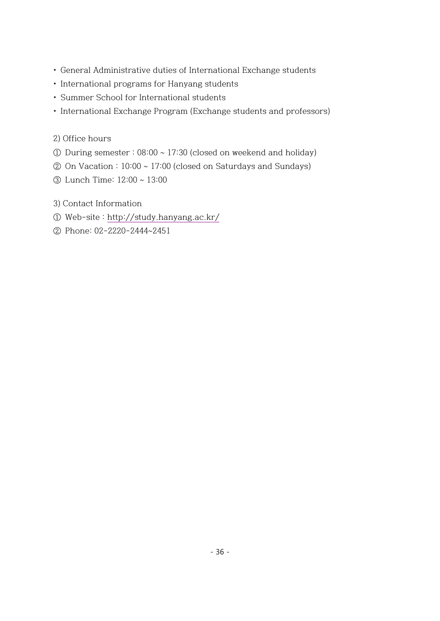- General Administrative duties of International Exchange students
- International programs for Hanyang students
- Summer School for International students
- International Exchange Program (Exchange students and professors)
- 2) Office hours
- ① During semester : 08:00 ~ 17:30 (closed on weekend and holiday)
- $\oslash$  On Vacation : 10:00 ~ 17:00 (closed on Saturdays and Sundays)
- ③ Lunch Time: 12:00 ~ 13:00
- 3) Contact Information
- ① Web-site : [http://study.hanyang.ac.kr/](http://dic.hanyang.ac.kr/)
- ② Phone: 02-2220-2444~2451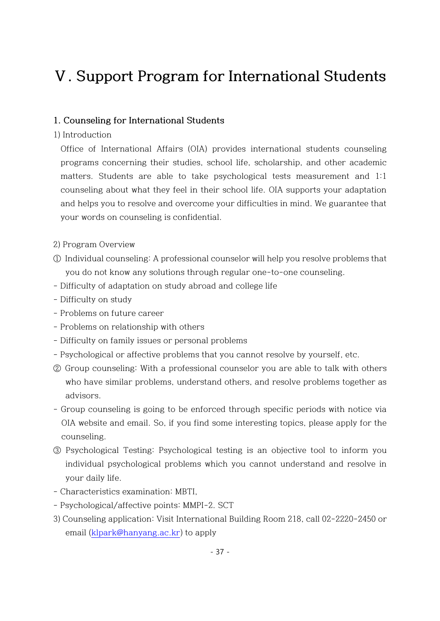## **Ⅴ. Support Program for International Students**

#### **1. Counseling for International Students**

1) Introduction

Office of International Affairs (OIA) provides international students counseling programs concerning their studies, school life, scholarship, and other academic matters. Students are able to take psychological tests measurement and 1:1 counseling about what they feel in their school life. OIA supports your adaptation and helps you to resolve and overcome your difficulties in mind. We guarantee that your words on counseling is confidential.

- 2) Program Overview
- ① Individual counseling: A professional counselor will help you resolve problems that you do not know any solutions through regular one-to-one counseling.
- Difficulty of adaptation on study abroad and college life
- Difficulty on study
- Problems on future career
- Problems on relationship with others
- Difficulty on family issues or personal problems
- Psychological or affective problems that you cannot resolve by yourself, etc.
- ② Group counseling: With a professional counselor you are able to talk with others who have similar problems, understand others, and resolve problems together as advisors.
- Group counseling is going to be enforced through specific periods with notice via OIA website and email. So, if you find some interesting topics, please apply for the counseling.
- ③ Psychological Testing: Psychological testing is an objective tool to inform you individual psychological problems which you cannot understand and resolve in your daily life.
- Characteristics examination: MBTI,
- Psychological/affective points: MMPI-2. SCT
- 3) Counseling application: Visit International Building Room 218, call 02-2220-2450 or email [\(klpark@hanyang.ac.kr\)](mailto:klpark@hanyang.ac.kr) to apply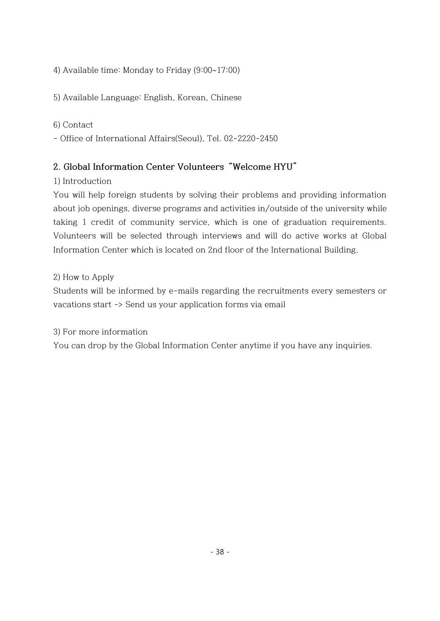4) Available time: Monday to Friday (9:00~17:00)

5) Available Language: English, Korean, Chinese

### 6) Contact

- Office of International Affairs(Seoul), Tel. 02-2220-2450

## **2. Global Information Center Volunteers "Welcome HYU"**

1) Introduction

You will help foreign students by solving their problems and providing information about job openings, diverse programs and activities in/outside of the university while taking 1 credit of community service, which is one of graduation requirements. Volunteers will be selected through interviews and will do active works at Global Information Center which is located on 2nd floor of the International Building.

2) How to Apply

Students will be informed by e-mails regarding the recruitments every semesters or vacations start -> Send us your application forms via email

3) For more information

You can drop by the Global Information Center anytime if you have any inquiries.